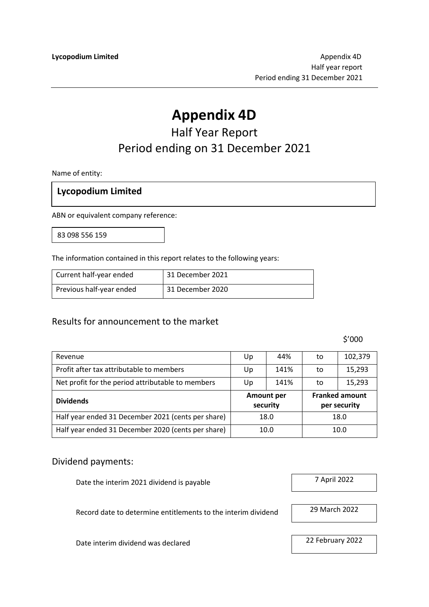# **Appendix 4D**

## Half Year Report Period ending on 31 December 2021

Name of entity:

#### **Lycopodium Limited**

ABN or equivalent company reference:

83 098 556 159

The information contained in this report relates to the following years:

| Current half-year ended  | 31 December 2021 |
|--------------------------|------------------|
| Previous half-year ended | 31 December 2020 |

#### Results for announcement to the market

\$'000

| Revenue                                            | Up       | 44%               | to | 102,379                               |
|----------------------------------------------------|----------|-------------------|----|---------------------------------------|
| Profit after tax attributable to members           | Up       | 141%              | to | 15,293                                |
| Net profit for the period attributable to members  | Up       | 141%              | to | 15,293                                |
|                                                    |          |                   |    |                                       |
| <b>Dividends</b>                                   | security | <b>Amount per</b> |    | <b>Franked amount</b><br>per security |
| Half year ended 31 December 2021 (cents per share) |          | 18.0              |    | 18.0                                  |

#### Dividend payments:

Date the interim 2021 dividend is payable 7 April 2022

Record date to determine entitlements to the interim dividend 29 March 2022

Date interim dividend was declared 22 February 2022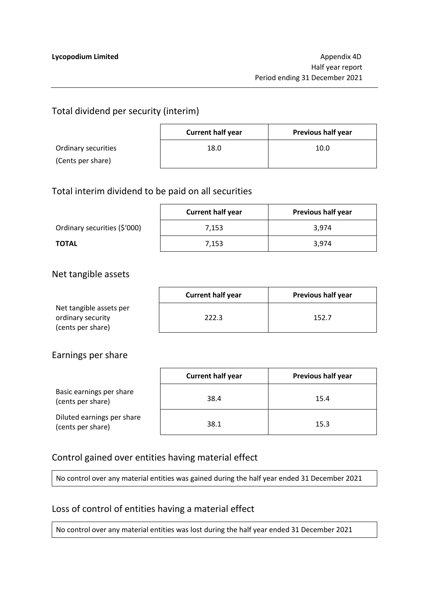## Total dividend per security (interim)

|                     | <b>Current half year</b> | <b>Previous half year</b> |
|---------------------|--------------------------|---------------------------|
| Ordinary securities | 18.0                     | 10.0                      |
| (Cents per share)   |                          |                           |

#### Total interim dividend to be paid on all securities

|                              | <b>Current half year</b> | <b>Previous half year</b> |
|------------------------------|--------------------------|---------------------------|
| Ordinary securities (\$'000) | 7.153                    | 3.974                     |
| <b>TOTAL</b>                 | 7.153                    | 3.974                     |

#### Net tangible assets

|                         | <b>Current half year</b> | <b>Previous half year</b> |
|-------------------------|--------------------------|---------------------------|
| Net tangible assets per |                          |                           |
| ordinary security       | 222.3                    | 152.7                     |
| (cents per share)       |                          |                           |

#### Earnings per share

|                                                 | <b>Current half year</b> | <b>Previous half year</b> |
|-------------------------------------------------|--------------------------|---------------------------|
| Basic earnings per share<br>(cents per share)   | 38.4                     | 15.4                      |
| Diluted earnings per share<br>(cents per share) | 38.1                     | 15.3                      |

## Control gained over entities having material effect

No control over any material entities was gained during the half year ended 31 December 2021

## Loss of control of entities having a material effect

No control over any material entities was lost during the half year ended 31 December 2021